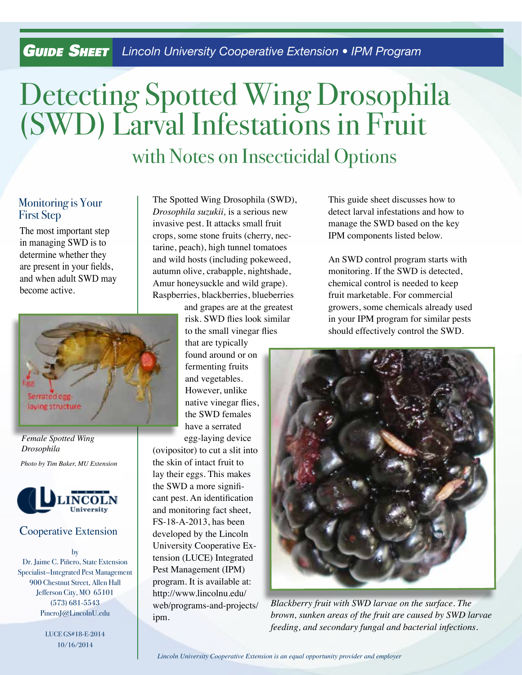## *Guide SHEET* Lincoln University Cooperative Extension • IPM Program

# Detecting Spotted Wing Drosophila (SWD) Larval Infestations in Fruit with Notes on Insecticidal Options

#### Monitoring is Your First Step

The most important step in managing SWD is to determine whether they are present in your fields, and when adult SWD may become active.



*Female Spotted Wing Drosophila*

*Photo by Tim Baker, MU Extension*



#### Cooperative Extension

by Dr. Jaime C. Piñero, State Extension Specialist—Integrated Pest Management 900 Chestnut Street, Allen Hall Jefferson City, MO 65101 (573) 681-5543 PineroJ@LincolnU.edu

> LUCE GS#18-E-2014 10/16/2014

The Spotted Wing Drosophila (SWD), *Drosophila suzukii,* is a serious new invasive pest. It attacks small fruit crops, some stone fruits (cherry, nectarine, peach), high tunnel tomatoes and wild hosts (including pokeweed, autumn olive, crabapple, nightshade, Amur honeysuckle and wild grape). Raspberries, blackberries, blueberries

and grapes are at the greatest risk. SWD flies look similar to the small vinegar flies

that are typically found around or on fermenting fruits and vegetables. However, unlike native vinegar flies, the SWD females have a serrated

egg-laying device (ovipositor) to cut a slit into the skin of intact fruit to lay their eggs. This makes the SWD a more significant pest. An identification and monitoring fact sheet, FS-18-A-2013, has been developed by the Lincoln University Cooperative Extension (LUCE) Integrated Pest Management (IPM) program. It is available at: http://www.lincolnu.edu/ web/programs-and-projects/ ipm.

This guide sheet discusses how to detect larval infestations and how to manage the SWD based on the key IPM components listed below.

An SWD control program starts with monitoring. If the SWD is detected, chemical control is needed to keep fruit marketable. For commercial growers, some chemicals already used in your IPM program for similar pests should effectively control the SWD.



*Blackberry fruit with SWD larvae on the surface. The brown, sunken areas of the fruit are caused by SWD larvae feeding, and secondary fungal and bacterial infections.*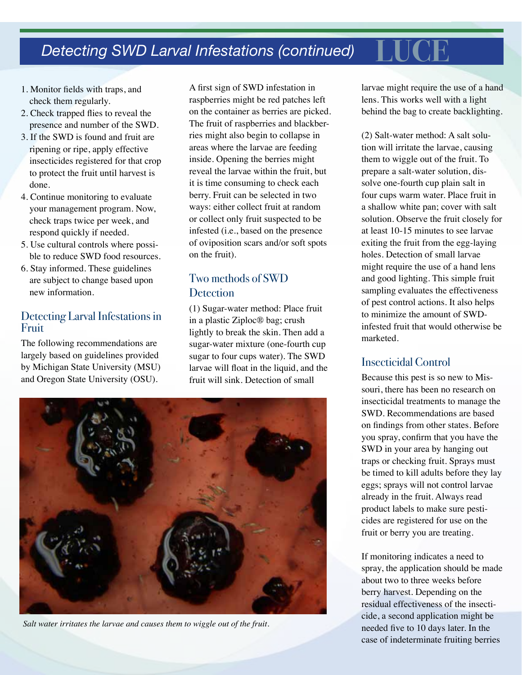# **Detecting SWD Larval Infestations (continued)**

- 1. Monitor fields with traps, and check them regularly.
- 2. Check trapped flies to reveal the presence and number of the SWD.
- 3. If the SWD is found and fruit are ripening or ripe, apply effective insecticides registered for that crop to protect the fruit until harvest is done.
- 4. Continue monitoring to evaluate your management program. Now, check traps twice per week, and respond quickly if needed.
- 5. Use cultural controls where possible to reduce SWD food resources.
- 6. Stay informed. These guidelines are subject to change based upon new information.

#### Detecting Larval Infestations in Fruit

The following recommendations are largely based on guidelines provided by Michigan State University (MSU) and Oregon State University (OSU).

A first sign of SWD infestation in raspberries might be red patches left on the container as berries are picked. The fruit of raspberries and blackberries might also begin to collapse in areas where the larvae are feeding inside. Opening the berries might reveal the larvae within the fruit, but it is time consuming to check each berry. Fruit can be selected in two ways: either collect fruit at random or collect only fruit suspected to be infested (i.e., based on the presence of oviposition scars and/or soft spots on the fruit).

### Two methods of SWD **Detection**

(1) Sugar-water method: Place fruit in a plastic Ziploc® bag; crush lightly to break the skin. Then add a sugar-water mixture (one-fourth cup sugar to four cups water). The SWD larvae will float in the liquid, and the fruit will sink. Detection of small



*Salt water irritates the larvae and causes them to wiggle out of the fruit.*

larvae might require the use of a hand lens. This works well with a light behind the bag to create backlighting.

(2) Salt-water method: A salt solution will irritate the larvae, causing them to wiggle out of the fruit. To prepare a salt-water solution, dissolve one-fourth cup plain salt in four cups warm water. Place fruit in a shallow white pan; cover with salt solution. Observe the fruit closely for at least 10-15 minutes to see larvae exiting the fruit from the egg-laying holes. Detection of small larvae might require the use of a hand lens and good lighting. This simple fruit sampling evaluates the effectiveness of pest control actions. It also helps to minimize the amount of SWDinfested fruit that would otherwise be marketed.

#### Insecticidal Control

Because this pest is so new to Missouri, there has been no research on insecticidal treatments to manage the SWD. Recommendations are based on findings from other states. Before you spray, confirm that you have the SWD in your area by hanging out traps or checking fruit. Sprays must be timed to kill adults before they lay eggs; sprays will not control larvae already in the fruit. Always read product labels to make sure pesticides are registered for use on the fruit or berry you are treating.

If monitoring indicates a need to spray, the application should be made about two to three weeks before berry harvest. Depending on the residual effectiveness of the insecticide, a second application might be needed five to 10 days later. In the case of indeterminate fruiting berries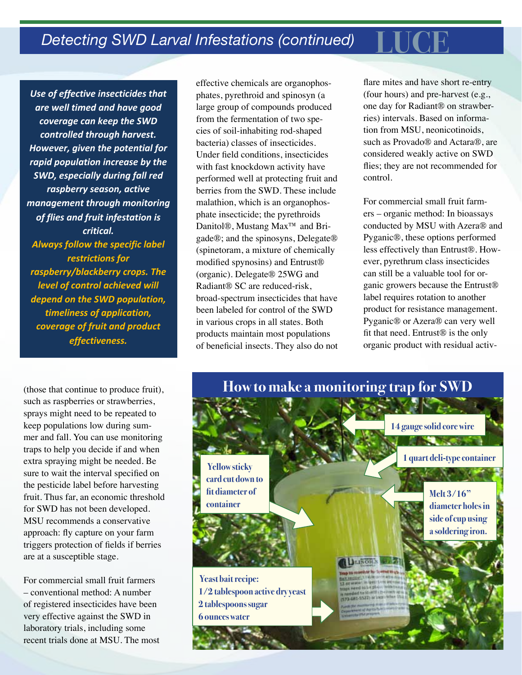Use of effective insecticides that are well timed and have good coverage can keep the SWD controlled through harvest. However, given the potential for rapid population increase by the **SWD, especially during fall red** raspberry season, active management through monitoring of flies and fruit infestation is *critical.* Always follow the specific label restrictions for raspberry/blackberry crops. The level of control achieved will depend on the SWD population, timeliness of application, coverage of fruit and product *effectiveness.*

(those that continue to produce fruit), such as raspberries or strawberries, sprays might need to be repeated to keep populations low during summer and fall. You can use monitoring traps to help you decide if and when extra spraying might be needed. Be sure to wait the interval specified on the pesticide label before harvesting fruit. Thus far, an economic threshold for SWD has not been developed. MSU recommends a conservative approach: fly capture on your farm triggers protection of fields if berries are at a susceptible stage.

For commercial small fruit farmers – conventional method: A number of registered insecticides have been very effective against the SWD in laboratory trials, including some recent trials done at MSU. The most

effective chemicals are organophosphates, pyrethroid and spinosyn (a large group of compounds produced from the fermentation of two species of soil-inhabiting rod-shaped bacteria) classes of insecticides. Under field conditions, insecticides with fast knockdown activity have performed well at protecting fruit and berries from the SWD. These include malathion, which is an organophosphate insecticide; the pyrethroids Danitol®, Mustang Max<sup>™</sup> and Brigade®; and the spinosyns, Delegate® (spinetoram, a mixture of chemically modified spynosins) and Entrust® (organic). Delegate® 25WG and Radiant® SC are reduced-risk, broad-spectrum insecticides that have been labeled for control of the SWD in various crops in all states. Both products maintain most populations of beneficial insects. They also do not flare mites and have short re-entry (four hours) and pre-harvest (e.g., one day for Radiant® on strawberries) intervals. Based on information from MSU, neonicotinoids, such as Provado® and Actara®, are considered weakly active on SWD flies; they are not recommended for control.

For commercial small fruit farmers – organic method: In bioassays conducted by MSU with Azera® and Pyganic®, these options performed less effectively than Entrust®. However, pyrethrum class insecticides can still be a valuable tool for organic growers because the Entrust® label requires rotation to another product for resistance management. Pyganic® or Azera® can very well fit that need. Entrust® is the only organic product with residual activ-